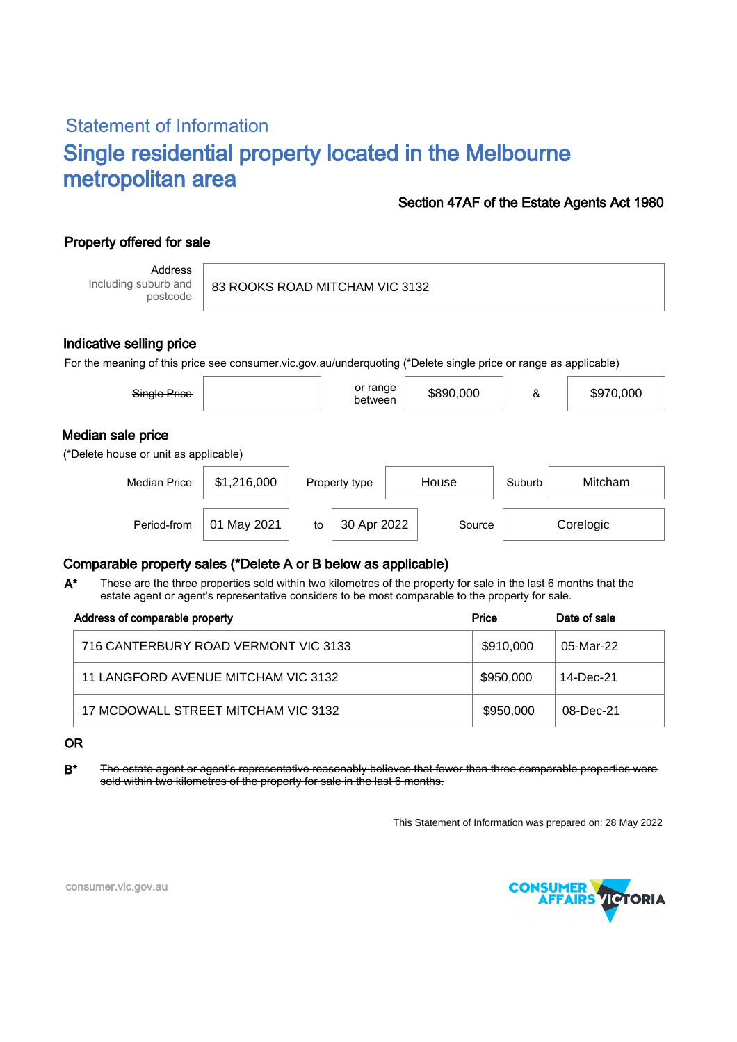# Statement of Information Single residential property located in the Melbourne metropolitan area

#### Section 47AF of the Estate Agents Act 1980

### Property offered for sale

Address Including suburb and postcode

83 ROOKS ROAD MITCHAM VIC 3132

#### Indicative selling price

For the meaning of this price see consumer.vic.gov.au/underquoting (\*Delete single price or range as applicable)

| Single Price                                               |             |    | or range<br>between |  | \$890,000 | &      | \$970,000 |
|------------------------------------------------------------|-------------|----|---------------------|--|-----------|--------|-----------|
| Median sale price<br>(*Delete house or unit as applicable) |             |    |                     |  |           |        |           |
| <b>Median Price</b>                                        | \$1,216,000 |    | Property type       |  | House     | Suburb | Mitcham   |
| Period-from                                                | May 2021    | to | 30 Apr 2022         |  | Source    |        | Corelogic |

#### Comparable property sales (\*Delete A or B below as applicable)

These are the three properties sold within two kilometres of the property for sale in the last 6 months that the estate agent or agent's representative considers to be most comparable to the property for sale. A\*

| Address of comparable property       | Price     | Date of sale |
|--------------------------------------|-----------|--------------|
| 716 CANTERBURY ROAD VERMONT VIC 3133 | \$910,000 | 05-Mar-22    |
| 11 LANGFORD AVENUE MITCHAM VIC 3132  | \$950,000 | 14-Dec-21    |
| 17 MCDOWALL STREET MITCHAM VIC 3132  | \$950,000 | 08-Dec-21    |

OR

B<sup>\*</sup> The estate agent or agent's representative reasonably believes that fewer than three comparable properties were sold within two kilometres of the property for sale in the last 6 months.

This Statement of Information was prepared on: 28 May 2022



consumer.vic.gov.au